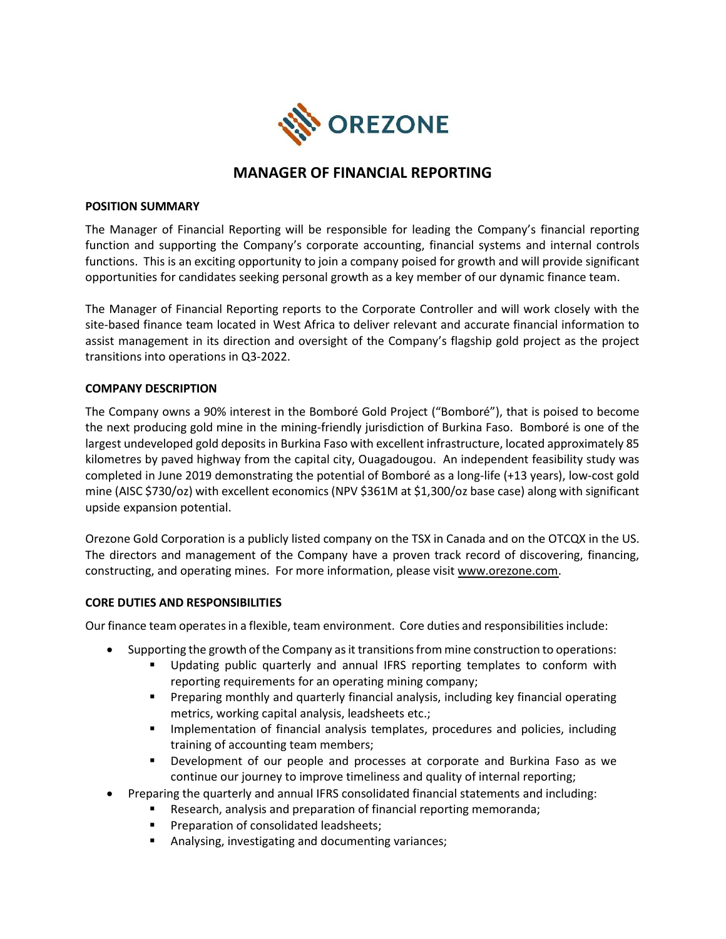

# MANAGER OF FINANCIAL REPORTING

### POSITION SUMMARY

The Manager of Financial Reporting will be responsible for leading the Company's financial reporting function and supporting the Company's corporate accounting, financial systems and internal controls functions. This is an exciting opportunity to join a company poised for growth and will provide significant opportunities for candidates seeking personal growth as a key member of our dynamic finance team.

The Manager of Financial Reporting reports to the Corporate Controller and will work closely with the site-based finance team located in West Africa to deliver relevant and accurate financial information to assist management in its direction and oversight of the Company's flagship gold project as the project transitions into operations in Q3-2022.

### COMPANY DESCRIPTION

The Company owns a 90% interest in the Bomboré Gold Project ("Bomboré"), that is poised to become the next producing gold mine in the mining-friendly jurisdiction of Burkina Faso. Bomboré is one of the largest undeveloped gold deposits in Burkina Faso with excellent infrastructure, located approximately 85 kilometres by paved highway from the capital city, Ouagadougou. An independent feasibility study was completed in June 2019 demonstrating the potential of Bomboré as a long-life (+13 years), low-cost gold mine (AISC \$730/oz) with excellent economics (NPV \$361M at \$1,300/oz base case) along with significant upside expansion potential.

Orezone Gold Corporation is a publicly listed company on the TSX in Canada and on the OTCQX in the US. The directors and management of the Company have a proven track record of discovering, financing, constructing, and operating mines. For more information, please visit www.orezone.com.

#### CORE DUTIES AND RESPONSIBILITIES

Our finance team operates in a flexible, team environment. Core duties and responsibilities include:

- Supporting the growth of the Company as it transitions from mine construction to operations:
	- Updating public quarterly and annual IFRS reporting templates to conform with reporting requirements for an operating mining company;
	- **Preparing monthly and quarterly financial analysis, including key financial operating** metrics, working capital analysis, leadsheets etc.;
	- **Implementation of financial analysis templates, procedures and policies, including** training of accounting team members;
	- Development of our people and processes at corporate and Burkina Faso as we continue our journey to improve timeliness and quality of internal reporting;
- Preparing the quarterly and annual IFRS consolidated financial statements and including:
	- **Research, analysis and preparation of financial reporting memoranda;** 
		- **Preparation of consolidated leadsheets;**
		- Analysing, investigating and documenting variances;